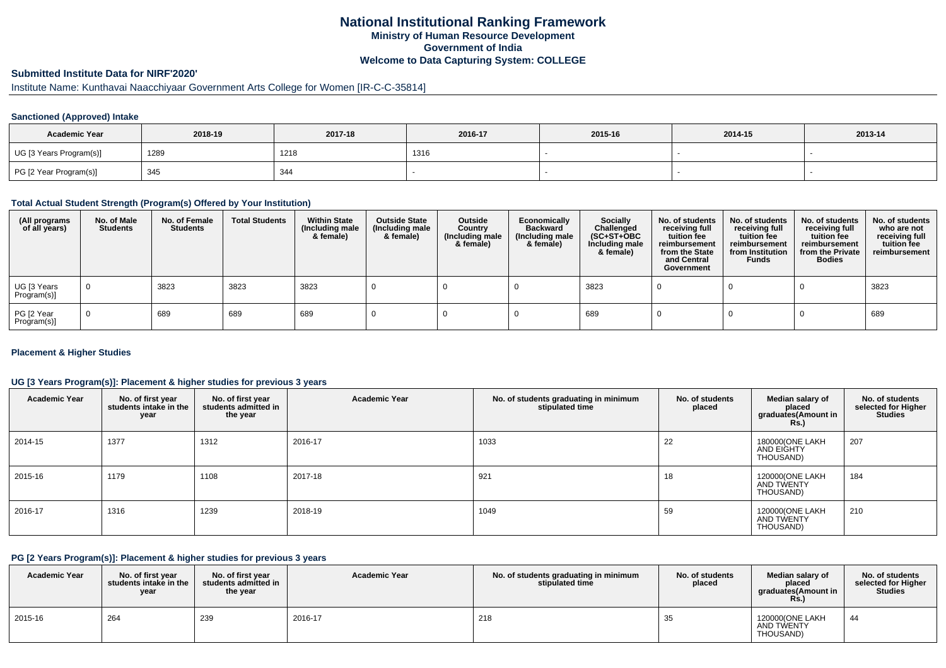## **National Institutional Ranking FrameworkMinistry of Human Resource DevelopmentGovernment of IndiaWelcome to Data Capturing System: COLLEGE**

# **Submitted Institute Data for NIRF'2020'**

## Institute Name: Kunthavai Naacchiyaar Government Arts College for Women [IR-C-C-35814]

#### **Sanctioned (Approved) Intake**

| <b>Academic Year</b>    | 2018-19 | 2017-18 | 2016-17 | 2015-16 | 2014-15 | 2013-14 |
|-------------------------|---------|---------|---------|---------|---------|---------|
| UG [3 Years Program(s)] | 1289    | 1218    | 1316    |         |         |         |
| PG [2 Year Program(s)]  | 345     | 344     |         |         |         |         |

#### **Total Actual Student Strength (Program(s) Offered by Your Institution)**

| (All programs<br>of all years) | No. of Male<br><b>Students</b> | No. of Female<br><b>Students</b> | <b>Total Students</b> | <b>Within State</b><br>(Including male<br>& female) | <b>Outside State</b><br>(Including male<br>& female) | Outside<br>Country<br>(Including male<br>& female) | Economically<br><b>Backward</b><br>(Including male<br>& female) | <b>Socially</b><br>Challenged<br>$(SC+ST+OBC)$<br>Including male<br>& female) | No. of students<br>receiving full<br>tuition fee<br>reimbursement<br>from the State<br>and Central<br>Government | No. of students<br>receiving full<br>tuition fee<br>reimbursement<br>from Institution<br><b>Funds</b> | No. of students<br>receiving full<br>tuition fee<br>reimbursement<br>from the Private<br><b>Bodies</b> | No. of students<br>who are not<br>receiving full<br>tuition fee<br>reimbursement |
|--------------------------------|--------------------------------|----------------------------------|-----------------------|-----------------------------------------------------|------------------------------------------------------|----------------------------------------------------|-----------------------------------------------------------------|-------------------------------------------------------------------------------|------------------------------------------------------------------------------------------------------------------|-------------------------------------------------------------------------------------------------------|--------------------------------------------------------------------------------------------------------|----------------------------------------------------------------------------------|
| UG [3 Years<br>Program(s)]     | $\overline{0}$                 | 3823                             | 3823                  | 3823                                                |                                                      |                                                    |                                                                 | 3823                                                                          |                                                                                                                  |                                                                                                       |                                                                                                        | 3823                                                                             |
| PG [2 Year<br>Program(s)]      | $\Omega$                       | 689                              | 689                   | 689                                                 |                                                      |                                                    |                                                                 | 689                                                                           |                                                                                                                  |                                                                                                       |                                                                                                        | 689                                                                              |

#### **Placement & Higher Studies**

#### **UG [3 Years Program(s)]: Placement & higher studies for previous 3 years**

| <b>Academic Year</b> | No. of first year<br>students intake in the<br>year | No. of first year<br>students admitted in<br>the year | <b>Academic Year</b> | No. of students graduating in minimum<br>stipulated time | No. of students<br>placed | Median salary of<br>placed<br>graduates(Amount in<br><b>Rs.)</b> | No. of students<br>selected for Higher<br><b>Studies</b> |
|----------------------|-----------------------------------------------------|-------------------------------------------------------|----------------------|----------------------------------------------------------|---------------------------|------------------------------------------------------------------|----------------------------------------------------------|
| 2014-15              | 1377                                                | 1312                                                  | 2016-17              | 1033                                                     | 22                        | 180000(ONE LAKH<br>AND EIGHTY<br>THOUSAND)                       | 207                                                      |
| 2015-16              | 1179                                                | 1108                                                  | 2017-18              | 921                                                      | 18                        | 120000(ONE LAKH<br>AND TWENTY<br>THOUSAND)                       | 184                                                      |
| 2016-17              | 1316                                                | 1239                                                  | 2018-19              | 1049                                                     | 59                        | 120000(ONE LAKH<br>AND TWENTY<br>THOUSAND)                       | 210                                                      |

#### **PG [2 Years Program(s)]: Placement & higher studies for previous 3 years**

| <b>Academic Year</b> | No. of first vear<br>students intake in the<br>year | No. of first vear<br>students admitted in<br>the year | <b>Academic Year</b> | No. of students graduating in minimum<br>stipulated time | No. of students<br>placed | Median salary of<br>placed<br>araduates(Amount in<br>Rs. | No. of students<br>selected for Higher  <br><b>Studies</b> |
|----------------------|-----------------------------------------------------|-------------------------------------------------------|----------------------|----------------------------------------------------------|---------------------------|----------------------------------------------------------|------------------------------------------------------------|
| 2015-16              | 264                                                 | 239                                                   | 2016-17              | 218                                                      |                           | 120000(ONE LAKH<br>AND TWENTY<br>THOUSAND)               | -44                                                        |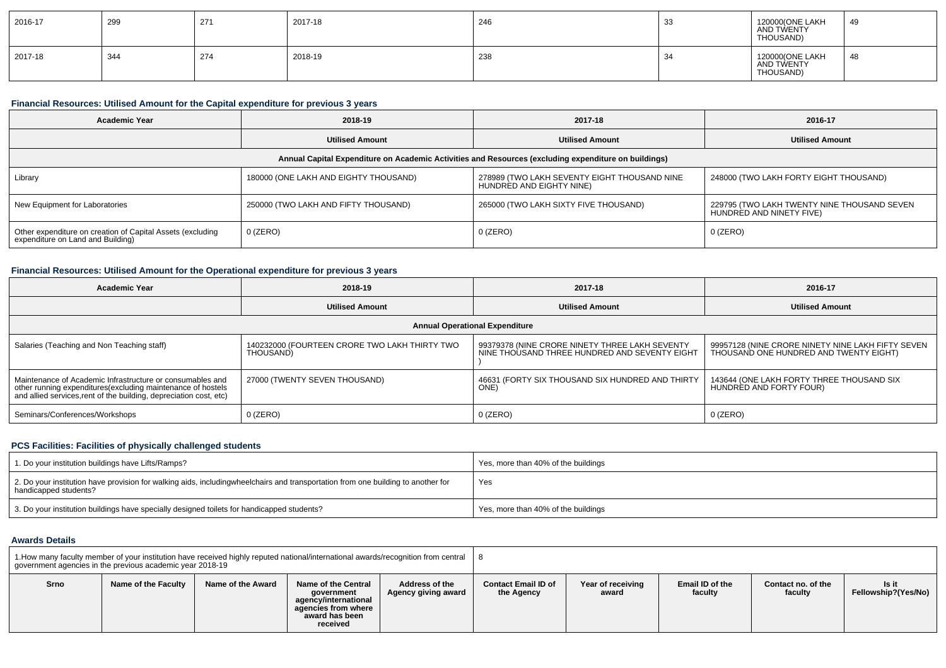| 2016-17 | 299 | 271 | 2017-18 | 246 | 33      | 120000(ONE LAKH<br>AND TWENTY<br>THOUSAND) | 49  |
|---------|-----|-----|---------|-----|---------|--------------------------------------------|-----|
| 2017-18 | 344 | 274 | 2018-19 | 238 | ۰<br>ູ∽ | 120000(ONE LAKH<br>AND TWENTY<br>THOUSAND) | -48 |

#### **Financial Resources: Utilised Amount for the Capital expenditure for previous 3 years**

| <b>Academic Year</b>                                                                                 | 2018-19                               | 2017-18                                                                  | 2016-17                                                                 |  |  |  |  |
|------------------------------------------------------------------------------------------------------|---------------------------------------|--------------------------------------------------------------------------|-------------------------------------------------------------------------|--|--|--|--|
|                                                                                                      | <b>Utilised Amount</b>                | <b>Utilised Amount</b>                                                   | <b>Utilised Amount</b>                                                  |  |  |  |  |
| Annual Capital Expenditure on Academic Activities and Resources (excluding expenditure on buildings) |                                       |                                                                          |                                                                         |  |  |  |  |
| Library                                                                                              | 180000 (ONE LAKH AND EIGHTY THOUSAND) | 278989 (TWO LAKH SEVENTY EIGHT THOUSAND NINE<br>HUNDRED AND EIGHTY NINE) | 248000 (TWO LAKH FORTY EIGHT THOUSAND)                                  |  |  |  |  |
| New Equipment for Laboratories                                                                       | 250000 (TWO LAKH AND FIFTY THOUSAND)  | 265000 (TWO LAKH SIXTY FIVE THOUSAND)                                    | 229795 (TWO LAKH TWENTY NINE THOUSAND SEVEN<br>HUNDRED AND NINETY FIVE) |  |  |  |  |
| Other expenditure on creation of Capital Assets (excluding<br>expenditure on Land and Building)      | 0 (ZERO)                              | $0$ (ZERO)                                                               | $0$ (ZERO)                                                              |  |  |  |  |

### **Financial Resources: Utilised Amount for the Operational expenditure for previous 3 years**

| <b>Academic Year</b>                                                                                                                                                                           | 2018-19                                                    | 2017-18                                                                                         | 2016-17                                                                                     |  |  |  |  |  |
|------------------------------------------------------------------------------------------------------------------------------------------------------------------------------------------------|------------------------------------------------------------|-------------------------------------------------------------------------------------------------|---------------------------------------------------------------------------------------------|--|--|--|--|--|
|                                                                                                                                                                                                | <b>Utilised Amount</b>                                     | <b>Utilised Amount</b>                                                                          | <b>Utilised Amount</b>                                                                      |  |  |  |  |  |
| <b>Annual Operational Expenditure</b>                                                                                                                                                          |                                                            |                                                                                                 |                                                                                             |  |  |  |  |  |
| Salaries (Teaching and Non Teaching staff)                                                                                                                                                     | 140232000 (FOURTEEN CRORE TWO LAKH THIRTY TWO<br>THOUSAND) | 99379378 (NINE CRORE NINETY THREE LAKH SEVENTY<br>NINE THOUSAND THREE HUNDRED AND SEVENTY EIGHT | 99957128 (NINE CRORE NINETY NINE LAKH FIFTY SEVEN<br>THOUSAND ONE HUNDRED AND TWENTY EIGHT) |  |  |  |  |  |
| Maintenance of Academic Infrastructure or consumables and<br>other running expenditures(excluding maintenance of hostels<br>and allied services, rent of the building, depreciation cost, etc) | 27000 (TWENTY SEVEN THOUSAND)                              | 46631 (FORTY SIX THOUSAND SIX HUNDRED AND THIRTY<br>ONE <sup>®</sup>                            | 143644 (ONE LAKH FORTY THREE THOUSAND SIX<br>HUNDRED AND FORTY FOUR)                        |  |  |  |  |  |
| Seminars/Conferences/Workshops                                                                                                                                                                 | $0$ (ZERO)                                                 | $0$ (ZERO)                                                                                      | $0$ (ZERO)                                                                                  |  |  |  |  |  |

#### **PCS Facilities: Facilities of physically challenged students**

| 1. Do your institution buildings have Lifts/Ramps?                                                                                                        | Yes, more than 40% of the buildings |
|-----------------------------------------------------------------------------------------------------------------------------------------------------------|-------------------------------------|
| 2. Do your institution have provision for walking aids, includingwheelchairs and transportation from one building to another for<br>handicapped students? | Yes                                 |
| 3. Do your institution buildings have specially designed toilets for handicapped students?                                                                | Yes, more than 40% of the buildings |

### **Awards Details**

| 1. How many faculty member of your institution have received highly reputed national/international awards/recognition from central<br>government agencies in the previous academic year 2018-19 |                     |                   |                                                                                                                |                                       |                                          |                            |                            |                               |                              |
|-------------------------------------------------------------------------------------------------------------------------------------------------------------------------------------------------|---------------------|-------------------|----------------------------------------------------------------------------------------------------------------|---------------------------------------|------------------------------------------|----------------------------|----------------------------|-------------------------------|------------------------------|
| Srno                                                                                                                                                                                            | Name of the Faculty | Name of the Award | Name of the Central<br>government<br>agency/international<br>agencies from where<br>award has been<br>received | Address of the<br>Agency giving award | <b>Contact Email ID of</b><br>the Agency | Year of receiving<br>award | Email ID of the<br>faculty | Contact no. of the<br>faculty | Is it<br>Fellowship?(Yes/No) |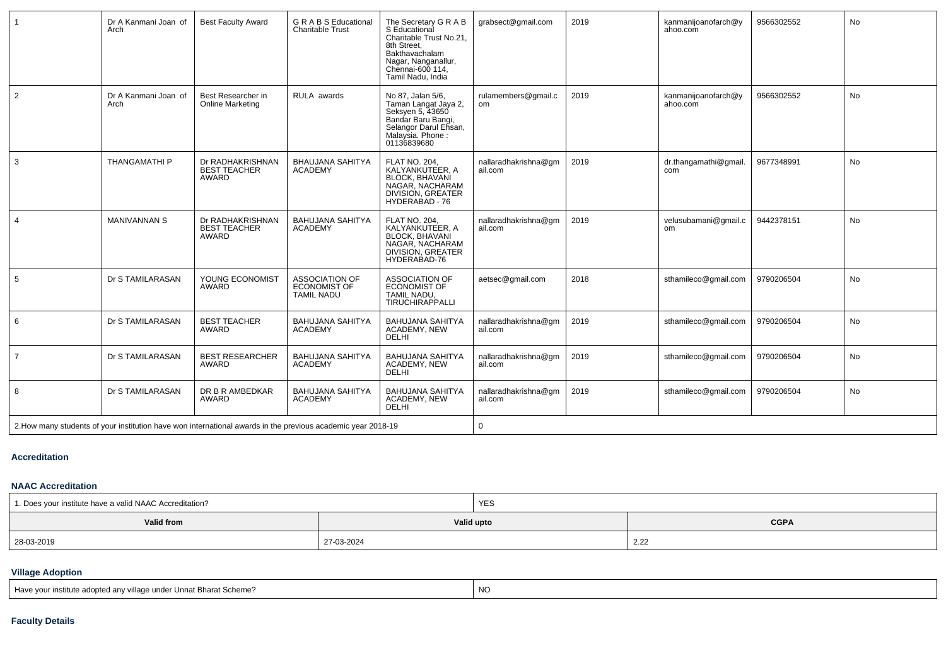|                                                                                                              | Dr A Kanmani Joan of<br>Arch | <b>Best Faculty Award</b>                        | <b>GRABS</b> Educational<br><b>Charitable Trust</b>               | The Secretary G R A B<br>S Educational<br>Charitable Trust No.21,<br>8th Street.<br>Bakthavachalam<br>Nagar, Nanganallur,<br>Chennai-600 114,<br>Tamil Nadu, India | grabsect@gmail.com              | 2019 | kanmanijoanofarch@y<br>ahoo.com       | 9566302552 | <b>No</b> |
|--------------------------------------------------------------------------------------------------------------|------------------------------|--------------------------------------------------|-------------------------------------------------------------------|--------------------------------------------------------------------------------------------------------------------------------------------------------------------|---------------------------------|------|---------------------------------------|------------|-----------|
| $\overline{2}$                                                                                               | Dr A Kanmani Joan of<br>Arch | Best Researcher in<br><b>Online Marketing</b>    | RULA awards                                                       | No 87, Jalan 5/6,<br>Taman Langat Jaya 2,<br>Seksyen 5, 43650<br>Bandar Baru Bangi,<br>Selangor Darul Ehsan,<br>Malaysia. Phone :<br>01136839680                   | rulamembers@gmail.c<br>om       | 2019 | kanmanijoanofarch@y<br>ahoo.com       | 9566302552 | <b>No</b> |
| 3                                                                                                            | <b>THANGAMATHI P</b>         | Dr RADHAKRISHNAN<br><b>BEST TEACHER</b><br>AWARD | <b>BHAUJANA SAHITYA</b><br><b>ACADEMY</b>                         | <b>FLAT NO. 204.</b><br>KALYANKUTEER, A<br>BLOCK, BHAVANI<br>NAGAR, NACHARAM<br>DIVISION, GREATER<br>HYDERABAD - 76                                                | nallaradhakrishna@gm<br>ail.com | 2019 | dr.thangamathi@gmail.<br>com          | 9677348991 | <b>No</b> |
| $\overline{4}$                                                                                               | <b>MANIVANNAN S</b>          | Dr RADHAKRISHNAN<br><b>BEST TEACHER</b><br>AWARD | <b>BAHUJANA SAHITYA</b><br><b>ACADEMY</b>                         | FLAT NO. 204,<br>KALYANKUTEER, A<br><b>BLOCK, BHAVANI</b><br>NAGAR, NACHARAM<br>DIVISION, GREATER<br>HYDERABAD-76                                                  | nallaradhakrishna@qm<br>ail.com | 2019 | velusubamani@gmail.c<br><sub>om</sub> | 9442378151 | <b>No</b> |
| 5                                                                                                            | Dr S TAMILARASAN             | YOUNG ECONOMIST<br><b>AWARD</b>                  | <b>ASSOCIATION OF</b><br><b>ECONOMIST OF</b><br><b>TAMIL NADU</b> | <b>ASSOCIATION OF</b><br><b>ECONOMIST OF</b><br>TAMIL NADU,<br><b>TIRUCHIRAPPALLI</b>                                                                              | aetsec@gmail.com                | 2018 | sthamileco@gmail.com                  | 9790206504 | <b>No</b> |
| 6                                                                                                            | Dr S TAMILARASAN             | <b>BEST TEACHER</b><br>AWARD                     | <b>BAHUJANA SAHITYA</b><br><b>ACADEMY</b>                         | <b>BAHUJANA SAHITYA</b><br><b>ACADEMY, NEW</b><br>DELHI                                                                                                            | nallaradhakrishna@gm<br>ail.com | 2019 | sthamileco@gmail.com                  | 9790206504 | No        |
| $\overline{7}$                                                                                               | Dr S TAMILARASAN             | <b>BEST RESEARCHER</b><br>AWARD                  | <b>BAHUJANA SAHITYA</b><br><b>ACADEMY</b>                         | <b>BAHUJANA SAHITYA</b><br>ACADEMY, NEW<br><b>DELHI</b>                                                                                                            | nallaradhakrishna@qm<br>ail.com | 2019 | sthamileco@qmail.com                  | 9790206504 | No        |
| 8                                                                                                            | Dr S TAMILARASAN             | DR B R AMBEDKAR<br><b>AWARD</b>                  | <b>BAHUJANA SAHITYA</b><br><b>ACADEMY</b>                         | <b>BAHUJANA SAHITYA</b><br>ACADEMY, NEW<br><b>DELHI</b>                                                                                                            | nallaradhakrishna@qm<br>ail.com | 2019 | sthamileco@qmail.com                  | 9790206504 | No        |
| 2. How many students of your institution have won international awards in the previous academic year 2018-19 |                              |                                                  |                                                                   |                                                                                                                                                                    | $\mathbf{0}$                    |      |                                       |            |           |

### **Accreditation**

### **NAAC Accreditation**

| 1. Does your institute have a valid NAAC Accreditation? |            | YES |             |
|---------------------------------------------------------|------------|-----|-------------|
| Valid from<br>Valid upto                                |            |     | <b>CGPA</b> |
| 28-03-2019                                              | 27-03-2024 |     | 2.22        |

## **Village Adoption**

| Have your institute adopted any village under Unnat Bharat Scheme? | <b>NO</b> |
|--------------------------------------------------------------------|-----------|
|--------------------------------------------------------------------|-----------|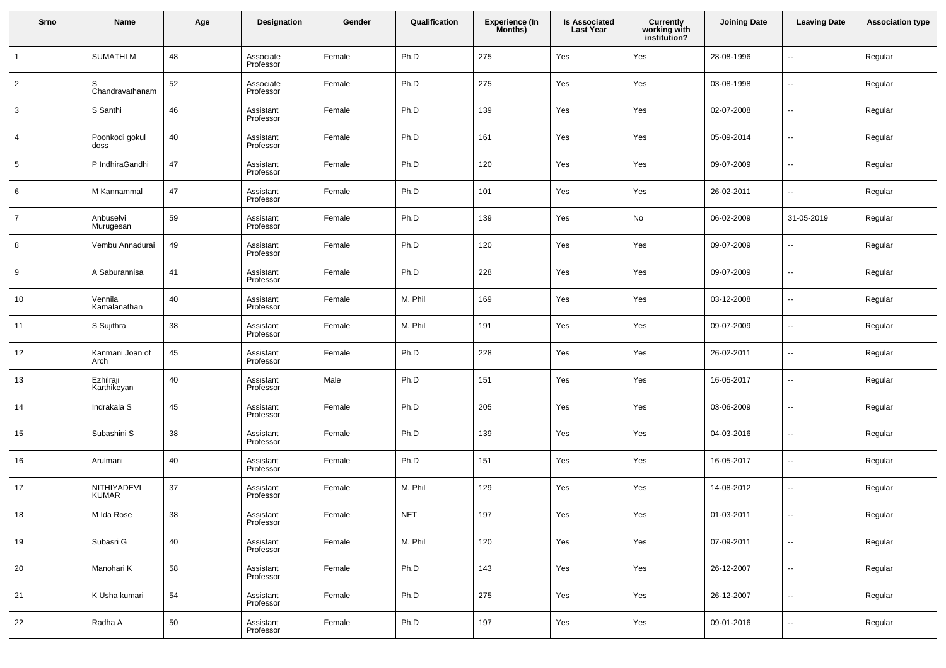| Srno           | Name                        | Age | Designation            | Gender | Qualification | <b>Experience (In</b><br>Months) | <b>Is Associated</b><br><b>Last Year</b> | <b>Currently<br/>working with<br/>institution?</b> | <b>Joining Date</b> | <b>Leaving Date</b>      | <b>Association type</b> |
|----------------|-----------------------------|-----|------------------------|--------|---------------|----------------------------------|------------------------------------------|----------------------------------------------------|---------------------|--------------------------|-------------------------|
| $\mathbf{1}$   | <b>SUMATHIM</b>             | 48  | Associate<br>Professor | Female | Ph.D          | 275                              | Yes                                      | Yes                                                | 28-08-1996          | $\overline{\phantom{a}}$ | Regular                 |
| $\overline{2}$ | S<br>Chandravathanam        | 52  | Associate<br>Professor | Female | Ph.D          | 275                              | Yes                                      | Yes                                                | 03-08-1998          | $\sim$                   | Regular                 |
| 3              | S Santhi                    | 46  | Assistant<br>Professor | Female | Ph.D          | 139                              | Yes                                      | Yes                                                | 02-07-2008          | $\sim$                   | Regular                 |
| 4              | Poonkodi gokul<br>doss      | 40  | Assistant<br>Professor | Female | Ph.D          | 161                              | Yes                                      | Yes                                                | 05-09-2014          | $\overline{\phantom{a}}$ | Regular                 |
| 5              | P IndhiraGandhi             | 47  | Assistant<br>Professor | Female | Ph.D          | 120                              | Yes                                      | Yes                                                | 09-07-2009          | $\sim$                   | Regular                 |
| 6              | M Kannammal                 | 47  | Assistant<br>Professor | Female | Ph.D          | 101                              | Yes                                      | Yes                                                | 26-02-2011          | $\sim$                   | Regular                 |
| $\overline{7}$ | Anbuselvi<br>Murugesan      | 59  | Assistant<br>Professor | Female | Ph.D          | 139                              | Yes                                      | No                                                 | 06-02-2009          | 31-05-2019               | Regular                 |
| 8              | Vembu Annadurai             | 49  | Assistant<br>Professor | Female | Ph.D          | 120                              | Yes                                      | Yes                                                | 09-07-2009          | $\overline{\phantom{a}}$ | Regular                 |
| 9              | A Saburannisa               | 41  | Assistant<br>Professor | Female | Ph.D          | 228                              | Yes                                      | Yes                                                | 09-07-2009          | $\overline{\phantom{a}}$ | Regular                 |
| 10             | Vennila<br>Kamalanathan     | 40  | Assistant<br>Professor | Female | M. Phil       | 169                              | Yes                                      | Yes                                                | 03-12-2008          | $\overline{\phantom{a}}$ | Regular                 |
| 11             | S Sujithra                  | 38  | Assistant<br>Professor | Female | M. Phil       | 191                              | Yes                                      | Yes                                                | 09-07-2009          | $\sim$                   | Regular                 |
| 12             | Kanmani Joan of<br>Arch     | 45  | Assistant<br>Professor | Female | Ph.D          | 228                              | Yes                                      | Yes                                                | 26-02-2011          | $\overline{\phantom{a}}$ | Regular                 |
| 13             | Ezhilraji<br>Karthikeyan    | 40  | Assistant<br>Professor | Male   | Ph.D          | 151                              | Yes                                      | Yes                                                | 16-05-2017          | $\sim$                   | Regular                 |
| 14             | Indrakala S                 | 45  | Assistant<br>Professor | Female | Ph.D          | 205                              | Yes                                      | Yes                                                | 03-06-2009          | $\sim$                   | Regular                 |
| 15             | Subashini S                 | 38  | Assistant<br>Professor | Female | Ph.D          | 139                              | Yes                                      | Yes                                                | 04-03-2016          | $\overline{\phantom{a}}$ | Regular                 |
| 16             | Arulmani                    | 40  | Assistant<br>Professor | Female | Ph.D          | 151                              | Yes                                      | Yes                                                | 16-05-2017          | $\sim$                   | Regular                 |
| 17             | NITHIYADEVI<br><b>KUMAR</b> | 37  | Assistant<br>Professor | Female | M. Phil       | 129                              | Yes                                      | Yes                                                | 14-08-2012          | $\sim$                   | Regular                 |
| 18             | M Ida Rose                  | 38  | Assistant<br>Professor | Female | <b>NET</b>    | 197                              | Yes                                      | Yes                                                | 01-03-2011          | $\overline{\phantom{a}}$ | Regular                 |
| 19             | Subasri G                   | 40  | Assistant<br>Professor | Female | M. Phil       | 120                              | Yes                                      | Yes                                                | 07-09-2011          | $\overline{\phantom{a}}$ | Regular                 |
| 20             | Manohari K                  | 58  | Assistant<br>Professor | Female | Ph.D          | 143                              | Yes                                      | Yes                                                | 26-12-2007          | $\sim$                   | Regular                 |
| 21             | K Usha kumari               | 54  | Assistant<br>Professor | Female | Ph.D          | 275                              | Yes                                      | Yes                                                | 26-12-2007          | $\ddot{\phantom{1}}$     | Regular                 |
| 22             | Radha A                     | 50  | Assistant<br>Professor | Female | Ph.D          | 197                              | Yes                                      | Yes                                                | 09-01-2016          | $\sim$                   | Regular                 |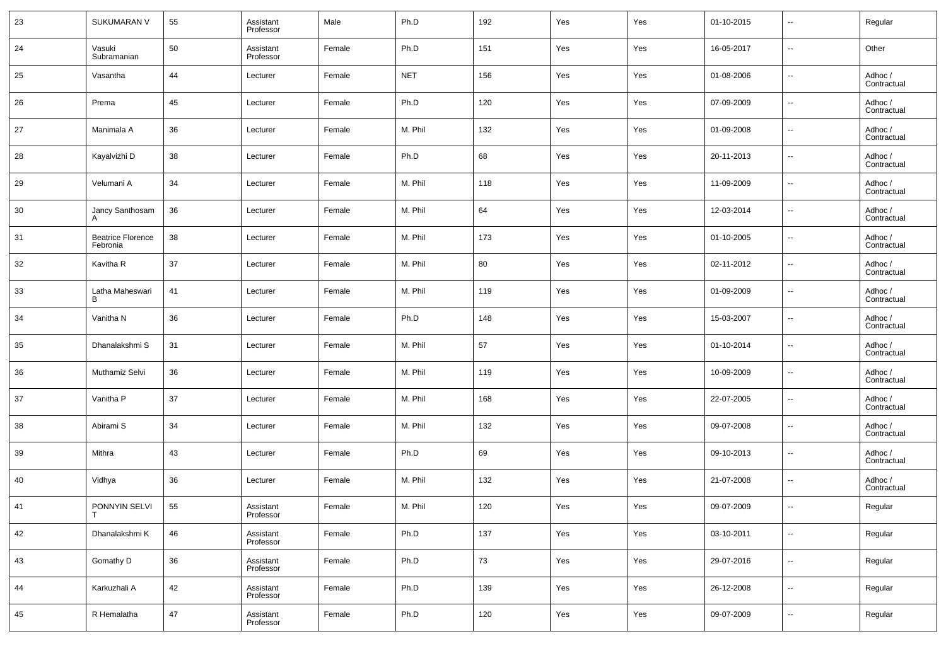| 23 | SUKUMARAN V                          | 55 | Assistant<br>Professor | Male   | Ph.D       | 192    | Yes | Yes | 01-10-2015 | $\overline{\phantom{a}}$ | Regular                |
|----|--------------------------------------|----|------------------------|--------|------------|--------|-----|-----|------------|--------------------------|------------------------|
| 24 | Vasuki<br>Subramanian                | 50 | Assistant<br>Professor | Female | Ph.D       | 151    | Yes | Yes | 16-05-2017 | $\overline{\phantom{a}}$ | Other                  |
| 25 | Vasantha                             | 44 | Lecturer               | Female | <b>NET</b> | 156    | Yes | Yes | 01-08-2006 | $\overline{\phantom{a}}$ | Adhoc /<br>Contractual |
| 26 | Prema                                | 45 | Lecturer               | Female | Ph.D       | 120    | Yes | Yes | 07-09-2009 | $\overline{\phantom{a}}$ | Adhoc /<br>Contractual |
| 27 | Manimala A                           | 36 | Lecturer               | Female | M. Phil    | 132    | Yes | Yes | 01-09-2008 | $\overline{\phantom{a}}$ | Adhoc /<br>Contractual |
| 28 | Kayalvizhi D                         | 38 | Lecturer               | Female | Ph.D       | 68     | Yes | Yes | 20-11-2013 | $\overline{\phantom{a}}$ | Adhoc /<br>Contractual |
| 29 | Velumani A                           | 34 | Lecturer               | Female | M. Phil    | 118    | Yes | Yes | 11-09-2009 | $\overline{\phantom{a}}$ | Adhoc /<br>Contractual |
| 30 | Jancy Santhosam                      | 36 | Lecturer               | Female | M. Phil    | 64     | Yes | Yes | 12-03-2014 | $\overline{\phantom{a}}$ | Adhoc /<br>Contractual |
| 31 | <b>Beatrice Florence</b><br>Febronia | 38 | Lecturer               | Female | M. Phil    | 173    | Yes | Yes | 01-10-2005 | $\overline{\phantom{a}}$ | Adhoc /<br>Contractual |
| 32 | Kavitha R                            | 37 | Lecturer               | Female | M. Phil    | 80     | Yes | Yes | 02-11-2012 | $\sim$                   | Adhoc /<br>Contractual |
| 33 | Latha Maheswari<br>в                 | 41 | Lecturer               | Female | M. Phil    | 119    | Yes | Yes | 01-09-2009 | $\overline{\phantom{a}}$ | Adhoc /<br>Contractual |
| 34 | Vanitha N                            | 36 | Lecturer               | Female | Ph.D       | 148    | Yes | Yes | 15-03-2007 | $\overline{\phantom{a}}$ | Adhoc /<br>Contractual |
| 35 | Dhanalakshmi S                       | 31 | Lecturer               | Female | M. Phil    | 57     | Yes | Yes | 01-10-2014 | $\overline{\phantom{a}}$ | Adhoc /<br>Contractual |
| 36 | Muthamiz Selvi                       | 36 | Lecturer               | Female | M. Phil    | 119    | Yes | Yes | 10-09-2009 | $\overline{\phantom{a}}$ | Adhoc /<br>Contractual |
| 37 | Vanitha P                            | 37 | Lecturer               | Female | M. Phil    | 168    | Yes | Yes | 22-07-2005 | $\sim$                   | Adhoc /<br>Contractual |
| 38 | Abirami S                            | 34 | Lecturer               | Female | M. Phil    | 132    | Yes | Yes | 09-07-2008 | $\overline{\phantom{a}}$ | Adhoc /<br>Contractual |
| 39 | Mithra                               | 43 | Lecturer               | Female | Ph.D       | 69     | Yes | Yes | 09-10-2013 | $\sim$                   | Adhoc /<br>Contractual |
| 40 | Vidhya                               | 36 | Lecturer               | Female | M. Phil    | 132    | Yes | Yes | 21-07-2008 | $\overline{\phantom{a}}$ | Adhoc /<br>Contractual |
| 41 | PONNYIN SELVI                        | 55 | Assistant<br>Professor | Female | M. Phil    | 120    | Yes | Yes | 09-07-2009 | $\overline{\phantom{a}}$ | Regular                |
| 42 | Dhanalakshmi K                       | 46 | Assistant<br>Professor | Female | Ph.D       | 137    | Yes | Yes | 03-10-2011 | $\overline{\phantom{a}}$ | Regular                |
| 43 | Gomathy D                            | 36 | Assistant<br>Professor | Female | Ph.D       | $73\,$ | Yes | Yes | 29-07-2016 | $\overline{\phantom{a}}$ | Regular                |
| 44 | Karkuzhali A                         | 42 | Assistant<br>Professor | Female | Ph.D       | 139    | Yes | Yes | 26-12-2008 | $\overline{\phantom{a}}$ | Regular                |
| 45 | R Hemalatha                          | 47 | Assistant<br>Professor | Female | Ph.D       | 120    | Yes | Yes | 09-07-2009 | $\overline{\phantom{a}}$ | Regular                |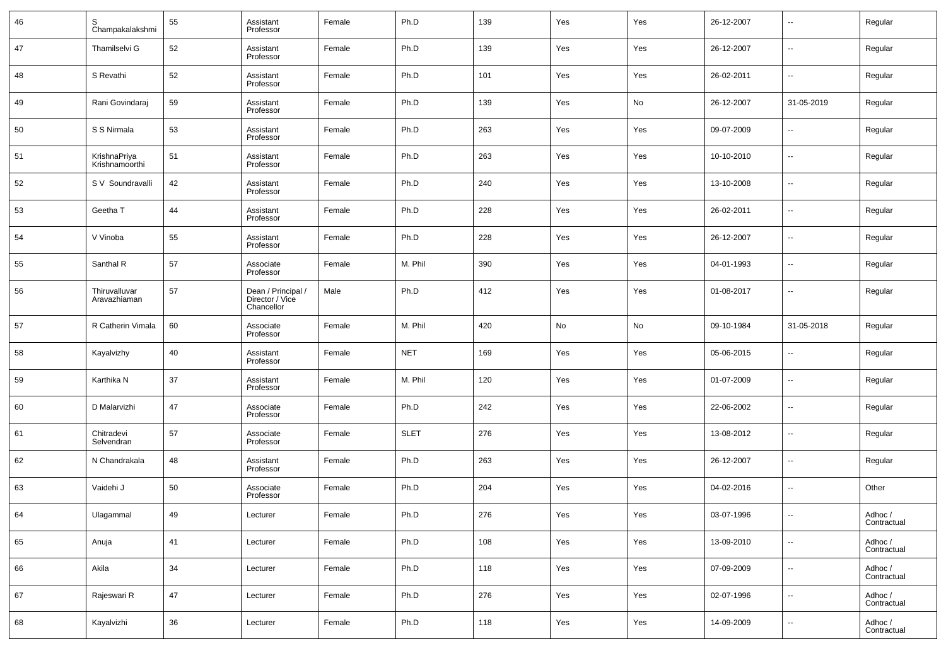| 46 | S<br>Champakalakshmi           | 55     | Assistant<br>Professor                              | Female | Ph.D        | 139 | Yes | Yes | 26-12-2007 | --                       | Regular                |
|----|--------------------------------|--------|-----------------------------------------------------|--------|-------------|-----|-----|-----|------------|--------------------------|------------------------|
| 47 | Thamilselvi G                  | 52     | Assistant<br>Professor                              | Female | Ph.D        | 139 | Yes | Yes | 26-12-2007 | --                       | Regular                |
| 48 | S Revathi                      | 52     | Assistant<br>Professor                              | Female | Ph.D        | 101 | Yes | Yes | 26-02-2011 | н.                       | Regular                |
| 49 | Rani Govindaraj                | 59     | Assistant<br>Professor                              | Female | Ph.D        | 139 | Yes | No  | 26-12-2007 | 31-05-2019               | Regular                |
| 50 | S S Nirmala                    | 53     | Assistant<br>Professor                              | Female | Ph.D        | 263 | Yes | Yes | 09-07-2009 | --                       | Regular                |
| 51 | KrishnaPriya<br>Krishnamoorthi | 51     | Assistant<br>Professor                              | Female | Ph.D        | 263 | Yes | Yes | 10-10-2010 | --                       | Regular                |
| 52 | S V Soundravalli               | 42     | Assistant<br>Professor                              | Female | Ph.D        | 240 | Yes | Yes | 13-10-2008 | --                       | Regular                |
| 53 | Geetha T                       | 44     | Assistant<br>Professor                              | Female | Ph.D        | 228 | Yes | Yes | 26-02-2011 | --                       | Regular                |
| 54 | V Vinoba                       | 55     | Assistant<br>Professor                              | Female | Ph.D        | 228 | Yes | Yes | 26-12-2007 | --                       | Regular                |
| 55 | Santhal R                      | 57     | Associate<br>Professor                              | Female | M. Phil     | 390 | Yes | Yes | 04-01-1993 | --                       | Regular                |
| 56 | Thiruvalluvar<br>Aravazhiaman  | 57     | Dean / Principal /<br>Director / Vice<br>Chancellor | Male   | Ph.D        | 412 | Yes | Yes | 01-08-2017 | --                       | Regular                |
| 57 | R Catherin Vimala              | 60     | Associate<br>Professor                              | Female | M. Phil     | 420 | No  | No  | 09-10-1984 | 31-05-2018               | Regular                |
| 58 | Kayalvizhy                     | 40     | Assistant<br>Professor                              | Female | <b>NET</b>  | 169 | Yes | Yes | 05-06-2015 | $\overline{a}$           | Regular                |
| 59 | Karthika N                     | 37     | Assistant<br>Professor                              | Female | M. Phil     | 120 | Yes | Yes | 01-07-2009 | --                       | Regular                |
| 60 | D Malarvizhi                   | 47     | Associate<br>Professor                              | Female | Ph.D        | 242 | Yes | Yes | 22-06-2002 | $\overline{a}$           | Regular                |
| 61 | Chitradevi<br>Selvendran       | 57     | Associate<br>Professor                              | Female | <b>SLET</b> | 276 | Yes | Yes | 13-08-2012 | --                       | Regular                |
| 62 | N Chandrakala                  | 48     | Assistant<br>Professor                              | Female | Ph.D        | 263 | Yes | Yes | 26-12-2007 | $\overline{a}$           | Regular                |
| 63 | Vaidehi J                      | 50     | Associate<br>Professor                              | Female | Ph.D        | 204 | Yes | Yes | 04-02-2016 | --                       | Other                  |
| 64 | Ulagammal                      | 49     | Lecturer                                            | Female | Ph.D        | 276 | Yes | Yes | 03-07-1996 |                          | Adhoc /<br>Contractual |
| 65 | Anuja                          | 41     | Lecturer                                            | Female | Ph.D        | 108 | Yes | Yes | 13-09-2010 | $\overline{\phantom{a}}$ | Adhoc /<br>Contractual |
| 66 | Akila                          | 34     | Lecturer                                            | Female | Ph.D        | 118 | Yes | Yes | 07-09-2009 | $\overline{\phantom{a}}$ | Adhoc /<br>Contractual |
| 67 | Rajeswari R                    | 47     | Lecturer                                            | Female | Ph.D        | 276 | Yes | Yes | 02-07-1996 | $\overline{\phantom{a}}$ | Adhoc /<br>Contractual |
| 68 | Kayalvizhi                     | $36\,$ | Lecturer                                            | Female | Ph.D        | 118 | Yes | Yes | 14-09-2009 | $\overline{\phantom{a}}$ | Adhoc /<br>Contractual |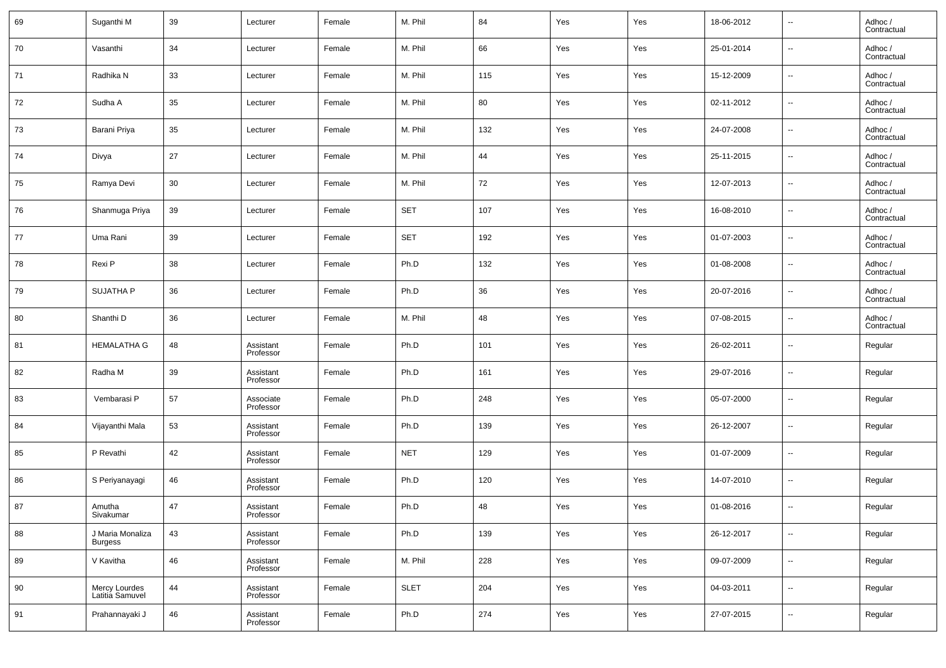| 69 | Suganthi M                         | 39 | Lecturer               | Female | M. Phil     | 84      | Yes | Yes | 18-06-2012 | $\overline{\phantom{a}}$ | Adhoc /<br>Contractual |
|----|------------------------------------|----|------------------------|--------|-------------|---------|-----|-----|------------|--------------------------|------------------------|
| 70 | Vasanthi                           | 34 | Lecturer               | Female | M. Phil     | 66      | Yes | Yes | 25-01-2014 | $\overline{\phantom{a}}$ | Adhoc /<br>Contractual |
| 71 | Radhika N                          | 33 | Lecturer               | Female | M. Phil     | 115     | Yes | Yes | 15-12-2009 | $\sim$                   | Adhoc /<br>Contractual |
| 72 | Sudha A                            | 35 | Lecturer               | Female | M. Phil     | 80      | Yes | Yes | 02-11-2012 | $\overline{\phantom{a}}$ | Adhoc /<br>Contractual |
| 73 | Barani Priya                       | 35 | Lecturer               | Female | M. Phil     | 132     | Yes | Yes | 24-07-2008 | $\overline{\phantom{a}}$ | Adhoc /<br>Contractual |
| 74 | Divya                              | 27 | Lecturer               | Female | M. Phil     | 44      | Yes | Yes | 25-11-2015 | $\overline{\phantom{a}}$ | Adhoc /<br>Contractual |
| 75 | Ramya Devi                         | 30 | Lecturer               | Female | M. Phil     | 72      | Yes | Yes | 12-07-2013 | $\overline{\phantom{a}}$ | Adhoc /<br>Contractual |
| 76 | Shanmuga Priya                     | 39 | Lecturer               | Female | <b>SET</b>  | 107     | Yes | Yes | 16-08-2010 | $\sim$                   | Adhoc /<br>Contractual |
| 77 | Uma Rani                           | 39 | Lecturer               | Female | <b>SET</b>  | 192     | Yes | Yes | 01-07-2003 | $\overline{\phantom{a}}$ | Adhoc /<br>Contractual |
| 78 | Rexi P                             | 38 | Lecturer               | Female | Ph.D        | 132     | Yes | Yes | 01-08-2008 | $\sim$                   | Adhoc /<br>Contractual |
| 79 | <b>SUJATHA P</b>                   | 36 | Lecturer               | Female | Ph.D        | 36      | Yes | Yes | 20-07-2016 | $\overline{\phantom{a}}$ | Adhoc /<br>Contractual |
| 80 | Shanthi D                          | 36 | Lecturer               | Female | M. Phil     | 48      | Yes | Yes | 07-08-2015 | $\sim$                   | Adhoc /<br>Contractual |
| 81 | <b>HEMALATHA G</b>                 | 48 | Assistant<br>Professor | Female | Ph.D        | 101     | Yes | Yes | 26-02-2011 | $\sim$                   | Regular                |
| 82 | Radha M                            | 39 | Assistant<br>Professor | Female | Ph.D        | 161     | Yes | Yes | 29-07-2016 | $\overline{\phantom{a}}$ | Regular                |
| 83 | Vembarasi P                        | 57 | Associate<br>Professor | Female | Ph.D        | 248     | Yes | Yes | 05-07-2000 | $\sim$                   | Regular                |
| 84 | Vijayanthi Mala                    | 53 | Assistant<br>Professor | Female | Ph.D        | 139     | Yes | Yes | 26-12-2007 | $\overline{\phantom{a}}$ | Regular                |
| 85 | P Revathi                          | 42 | Assistant<br>Professor | Female | <b>NET</b>  | 129     | Yes | Yes | 01-07-2009 | $\sim$                   | Regular                |
| 86 | S Periyanayagi                     | 46 | Assistant<br>Professor | Female | Ph.D        | 120     | Yes | Yes | 14-07-2010 | $\overline{\phantom{a}}$ | Regular                |
| 87 | Amutha<br>Sivakumar                | 47 | Assistant<br>Professor | Female | Ph.D        | 48      | Yes | Yes | 01-08-2016 | $\overline{\phantom{a}}$ | Regular                |
| 88 | J Maria Monaliza<br><b>Burgess</b> | 43 | Assistant<br>Professor | Female | Ph.D        | 139     | Yes | Yes | 26-12-2017 | $\overline{\phantom{a}}$ | Regular                |
| 89 | V Kavitha                          | 46 | Assistant<br>Professor | Female | M. Phil     | 228     | Yes | Yes | 09-07-2009 | $\overline{\phantom{a}}$ | Regular                |
| 90 | Mercy Lourdes<br>Latitia Samuvel   | 44 | Assistant<br>Professor | Female | <b>SLET</b> | 204     | Yes | Yes | 04-03-2011 | $\overline{\phantom{a}}$ | Regular                |
| 91 | Prahannayaki J                     | 46 | Assistant<br>Professor | Female | Ph.D        | $274\,$ | Yes | Yes | 27-07-2015 | $\overline{\phantom{a}}$ | Regular                |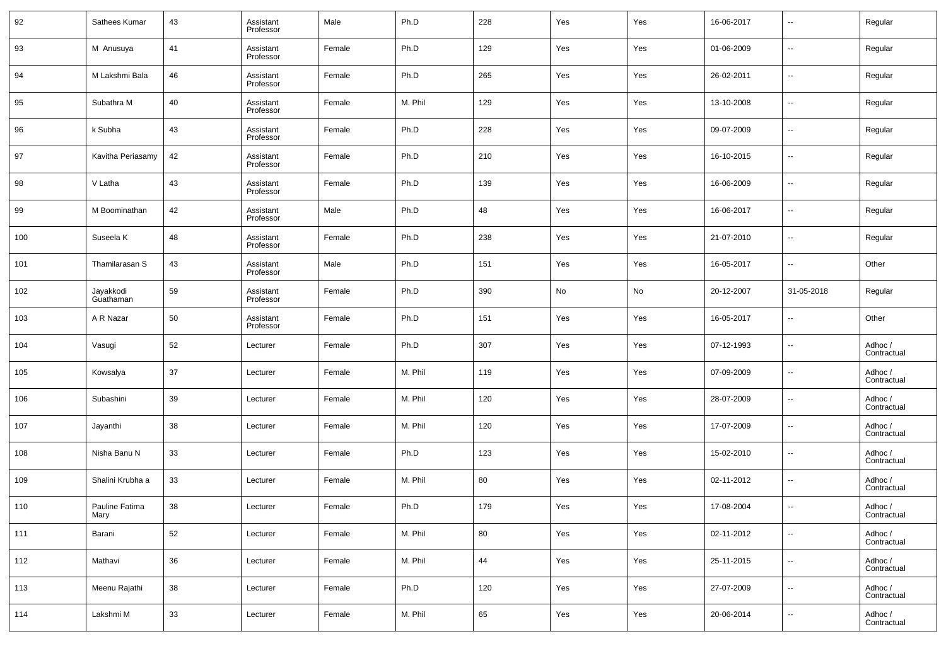| 92  | Sathees Kumar          | 43 | Assistant<br>Professor | Male   | Ph.D    | 228 | Yes | Yes | 16-06-2017 | $\overline{\phantom{a}}$ | Regular                |
|-----|------------------------|----|------------------------|--------|---------|-----|-----|-----|------------|--------------------------|------------------------|
| 93  | M Anusuya              | 41 | Assistant<br>Professor | Female | Ph.D    | 129 | Yes | Yes | 01-06-2009 | $\overline{\phantom{a}}$ | Regular                |
| 94  | M Lakshmi Bala         | 46 | Assistant<br>Professor | Female | Ph.D    | 265 | Yes | Yes | 26-02-2011 | $\overline{\phantom{a}}$ | Regular                |
| 95  | Subathra M             | 40 | Assistant<br>Professor | Female | M. Phil | 129 | Yes | Yes | 13-10-2008 | $\overline{\phantom{a}}$ | Regular                |
| 96  | k Subha                | 43 | Assistant<br>Professor | Female | Ph.D    | 228 | Yes | Yes | 09-07-2009 | $\overline{\phantom{a}}$ | Regular                |
| 97  | Kavitha Periasamy      | 42 | Assistant<br>Professor | Female | Ph.D    | 210 | Yes | Yes | 16-10-2015 | $\overline{\phantom{a}}$ | Regular                |
| 98  | V Latha                | 43 | Assistant<br>Professor | Female | Ph.D    | 139 | Yes | Yes | 16-06-2009 | $\overline{\phantom{a}}$ | Regular                |
| 99  | M Boominathan          | 42 | Assistant<br>Professor | Male   | Ph.D    | 48  | Yes | Yes | 16-06-2017 | $\overline{\phantom{a}}$ | Regular                |
| 100 | Suseela K              | 48 | Assistant<br>Professor | Female | Ph.D    | 238 | Yes | Yes | 21-07-2010 | $\overline{\phantom{a}}$ | Regular                |
| 101 | Thamilarasan S         | 43 | Assistant<br>Professor | Male   | Ph.D    | 151 | Yes | Yes | 16-05-2017 | $\overline{\phantom{a}}$ | Other                  |
| 102 | Jayakkodi<br>Guathaman | 59 | Assistant<br>Professor | Female | Ph.D    | 390 | No  | No  | 20-12-2007 | 31-05-2018               | Regular                |
| 103 | A R Nazar              | 50 | Assistant<br>Professor | Female | Ph.D    | 151 | Yes | Yes | 16-05-2017 | $\overline{\phantom{a}}$ | Other                  |
| 104 | Vasugi                 | 52 | Lecturer               | Female | Ph.D    | 307 | Yes | Yes | 07-12-1993 | $\overline{\phantom{a}}$ | Adhoc /<br>Contractual |
| 105 | Kowsalya               | 37 | Lecturer               | Female | M. Phil | 119 | Yes | Yes | 07-09-2009 | $\overline{\phantom{a}}$ | Adhoc /<br>Contractual |
| 106 | Subashini              | 39 | Lecturer               | Female | M. Phil | 120 | Yes | Yes | 28-07-2009 | $\overline{\phantom{a}}$ | Adhoc /<br>Contractual |
| 107 | Jayanthi               | 38 | Lecturer               | Female | M. Phil | 120 | Yes | Yes | 17-07-2009 | $\overline{\phantom{a}}$ | Adhoc /<br>Contractual |
| 108 | Nisha Banu N           | 33 | Lecturer               | Female | Ph.D    | 123 | Yes | Yes | 15-02-2010 | $\overline{\phantom{a}}$ | Adhoc /<br>Contractual |
| 109 | Shalini Krubha a       | 33 | Lecturer               | Female | M. Phil | 80  | Yes | Yes | 02-11-2012 | $\overline{\phantom{a}}$ | Adhoc /<br>Contractual |
| 110 | Pauline Fatima<br>Mary | 38 | Lecturer               | Female | Ph.D    | 179 | Yes | Yes | 17-08-2004 | $\overline{\phantom{a}}$ | Adhoc /<br>Contractual |
| 111 | Barani                 | 52 | Lecturer               | Female | M. Phil | 80  | Yes | Yes | 02-11-2012 | $\overline{\phantom{a}}$ | Adhoc /<br>Contractual |
| 112 | Mathavi                | 36 | Lecturer               | Female | M. Phil | 44  | Yes | Yes | 25-11-2015 | $\overline{\phantom{a}}$ | Adhoc /<br>Contractual |
| 113 | Meenu Rajathi          | 38 | Lecturer               | Female | Ph.D    | 120 | Yes | Yes | 27-07-2009 | $\overline{\phantom{a}}$ | Adhoc /<br>Contractual |
| 114 | Lakshmi M              | 33 | Lecturer               | Female | M. Phil | 65  | Yes | Yes | 20-06-2014 | $\overline{\phantom{a}}$ | Adhoc /<br>Contractual |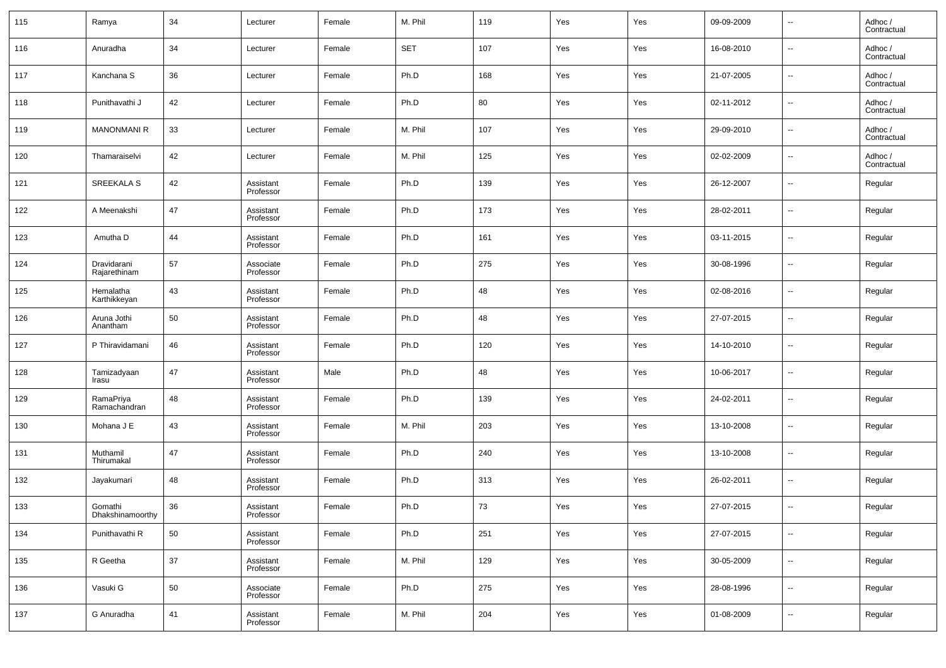| 115 | Ramya                       | 34 | Lecturer               | Female | M. Phil    | 119 | Yes | Yes | 09-09-2009 | $\overline{\phantom{a}}$ | Adhoc /<br>Contractual |
|-----|-----------------------------|----|------------------------|--------|------------|-----|-----|-----|------------|--------------------------|------------------------|
| 116 | Anuradha                    | 34 | Lecturer               | Female | <b>SET</b> | 107 | Yes | Yes | 16-08-2010 | $\overline{\phantom{a}}$ | Adhoc /<br>Contractual |
| 117 | Kanchana S                  | 36 | Lecturer               | Female | Ph.D       | 168 | Yes | Yes | 21-07-2005 | $\overline{\phantom{a}}$ | Adhoc /<br>Contractual |
| 118 | Punithavathi J              | 42 | Lecturer               | Female | Ph.D       | 80  | Yes | Yes | 02-11-2012 | $\overline{\phantom{a}}$ | Adhoc /<br>Contractual |
| 119 | <b>MANONMANI R</b>          | 33 | Lecturer               | Female | M. Phil    | 107 | Yes | Yes | 29-09-2010 | $\overline{\phantom{a}}$ | Adhoc /<br>Contractual |
| 120 | Thamaraiselvi               | 42 | Lecturer               | Female | M. Phil    | 125 | Yes | Yes | 02-02-2009 | $\overline{\phantom{a}}$ | Adhoc /<br>Contractual |
| 121 | SREEKALA S                  | 42 | Assistant<br>Professor | Female | Ph.D       | 139 | Yes | Yes | 26-12-2007 | $\overline{\phantom{a}}$ | Regular                |
| 122 | A Meenakshi                 | 47 | Assistant<br>Professor | Female | Ph.D       | 173 | Yes | Yes | 28-02-2011 | $\overline{\phantom{a}}$ | Regular                |
| 123 | Amutha D                    | 44 | Assistant<br>Professor | Female | Ph.D       | 161 | Yes | Yes | 03-11-2015 | $\overline{\phantom{a}}$ | Regular                |
| 124 | Dravidarani<br>Rajarethinam | 57 | Associate<br>Professor | Female | Ph.D       | 275 | Yes | Yes | 30-08-1996 | $\overline{\phantom{a}}$ | Regular                |
| 125 | Hemalatha<br>Karthikkeyan   | 43 | Assistant<br>Professor | Female | Ph.D       | 48  | Yes | Yes | 02-08-2016 | $\overline{\phantom{a}}$ | Regular                |
| 126 | Aruna Jothi<br>Anantham     | 50 | Assistant<br>Professor | Female | Ph.D       | 48  | Yes | Yes | 27-07-2015 | $\overline{\phantom{a}}$ | Regular                |
| 127 | P Thiravidamani             | 46 | Assistant<br>Professor | Female | Ph.D       | 120 | Yes | Yes | 14-10-2010 | $\overline{\phantom{a}}$ | Regular                |
| 128 | Tamizadyaan<br>Irasu        | 47 | Assistant<br>Professor | Male   | Ph.D       | 48  | Yes | Yes | 10-06-2017 | $\overline{\phantom{a}}$ | Regular                |
| 129 | RamaPriya<br>Ramachandran   | 48 | Assistant<br>Professor | Female | Ph.D       | 139 | Yes | Yes | 24-02-2011 | $\overline{\phantom{a}}$ | Regular                |
| 130 | Mohana J E                  | 43 | Assistant<br>Professor | Female | M. Phil    | 203 | Yes | Yes | 13-10-2008 | $\overline{\phantom{a}}$ | Regular                |
| 131 | Muthamil<br>Thirumakal      | 47 | Assistant<br>Professor | Female | Ph.D       | 240 | Yes | Yes | 13-10-2008 | $\overline{\phantom{a}}$ | Regular                |
| 132 | Jayakumari                  | 48 | Assistant<br>Professor | Female | Ph.D       | 313 | Yes | Yes | 26-02-2011 | $\overline{\phantom{a}}$ | Regular                |
| 133 | Gomathi<br>Dhakshinamoorthy | 36 | Assistant<br>Professor | Female | Ph.D       | 73  | Yes | Yes | 27-07-2015 | $\sim$                   | Regular                |
| 134 | Punithavathi R              | 50 | Assistant<br>Professor | Female | Ph.D       | 251 | Yes | Yes | 27-07-2015 | $\overline{\phantom{a}}$ | Regular                |
| 135 | R Geetha                    | 37 | Assistant<br>Professor | Female | M. Phil    | 129 | Yes | Yes | 30-05-2009 | $\overline{\phantom{a}}$ | Regular                |
| 136 | Vasuki G                    | 50 | Associate<br>Professor | Female | Ph.D       | 275 | Yes | Yes | 28-08-1996 | $\overline{\phantom{a}}$ | Regular                |
| 137 | G Anuradha                  | 41 | Assistant<br>Professor | Female | M. Phil    | 204 | Yes | Yes | 01-08-2009 | $\overline{\phantom{a}}$ | Regular                |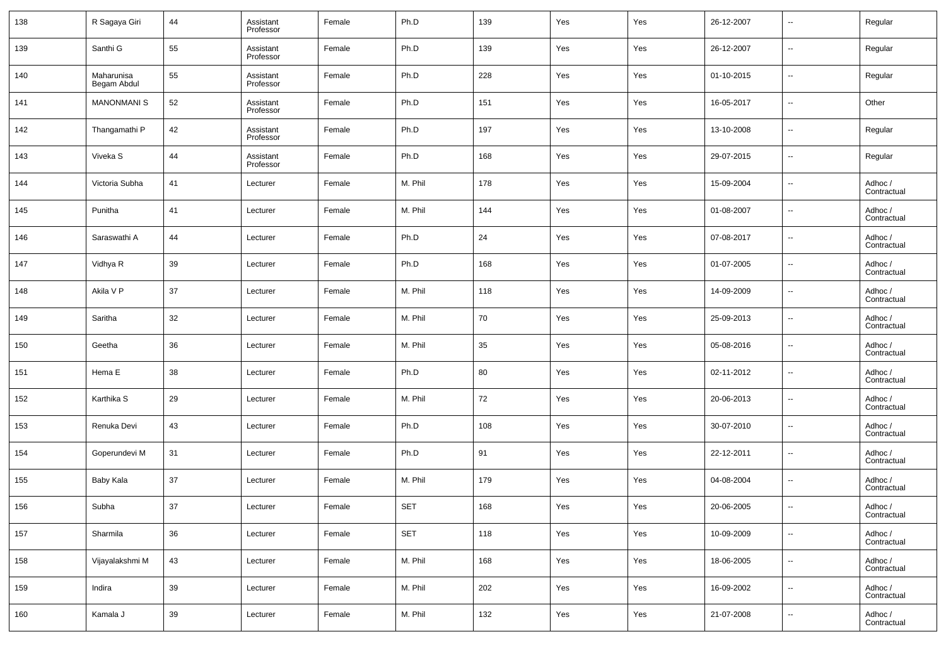| 138 | R Sagaya Giri             | 44 | Assistant<br>Professor | Female | Ph.D       | 139 | Yes | Yes | 26-12-2007 | $\overline{\phantom{a}}$ | Regular                |
|-----|---------------------------|----|------------------------|--------|------------|-----|-----|-----|------------|--------------------------|------------------------|
| 139 | Santhi G                  | 55 | Assistant<br>Professor | Female | Ph.D       | 139 | Yes | Yes | 26-12-2007 | $\overline{\phantom{a}}$ | Regular                |
| 140 | Maharunisa<br>Begam Abdul | 55 | Assistant<br>Professor | Female | Ph.D       | 228 | Yes | Yes | 01-10-2015 | $\overline{\phantom{a}}$ | Regular                |
| 141 | <b>MANONMANIS</b>         | 52 | Assistant<br>Professor | Female | Ph.D       | 151 | Yes | Yes | 16-05-2017 | $\overline{\phantom{a}}$ | Other                  |
| 142 | Thangamathi P             | 42 | Assistant<br>Professor | Female | Ph.D       | 197 | Yes | Yes | 13-10-2008 | $\overline{\phantom{a}}$ | Regular                |
| 143 | Viveka S                  | 44 | Assistant<br>Professor | Female | Ph.D       | 168 | Yes | Yes | 29-07-2015 | $\overline{\phantom{a}}$ | Regular                |
| 144 | Victoria Subha            | 41 | Lecturer               | Female | M. Phil    | 178 | Yes | Yes | 15-09-2004 | $\overline{\phantom{a}}$ | Adhoc /<br>Contractual |
| 145 | Punitha                   | 41 | Lecturer               | Female | M. Phil    | 144 | Yes | Yes | 01-08-2007 | $\overline{\phantom{a}}$ | Adhoc /<br>Contractual |
| 146 | Saraswathi A              | 44 | Lecturer               | Female | Ph.D       | 24  | Yes | Yes | 07-08-2017 | $\overline{\phantom{a}}$ | Adhoc /<br>Contractual |
| 147 | Vidhya R                  | 39 | Lecturer               | Female | Ph.D       | 168 | Yes | Yes | 01-07-2005 | $\overline{\phantom{a}}$ | Adhoc /<br>Contractual |
| 148 | Akila V P                 | 37 | Lecturer               | Female | M. Phil    | 118 | Yes | Yes | 14-09-2009 | $\overline{\phantom{a}}$ | Adhoc /<br>Contractual |
| 149 | Saritha                   | 32 | Lecturer               | Female | M. Phil    | 70  | Yes | Yes | 25-09-2013 | $\overline{\phantom{a}}$ | Adhoc /<br>Contractual |
| 150 | Geetha                    | 36 | Lecturer               | Female | M. Phil    | 35  | Yes | Yes | 05-08-2016 | $\overline{\phantom{a}}$ | Adhoc /<br>Contractual |
| 151 | Hema E                    | 38 | Lecturer               | Female | Ph.D       | 80  | Yes | Yes | 02-11-2012 | $\overline{\phantom{a}}$ | Adhoc /<br>Contractual |
| 152 | Karthika S                | 29 | Lecturer               | Female | M. Phil    | 72  | Yes | Yes | 20-06-2013 | $\overline{\phantom{a}}$ | Adhoc /<br>Contractual |
| 153 | Renuka Devi               | 43 | Lecturer               | Female | Ph.D       | 108 | Yes | Yes | 30-07-2010 | $\overline{\phantom{a}}$ | Adhoc /<br>Contractual |
| 154 | Goperundevi M             | 31 | Lecturer               | Female | Ph.D       | 91  | Yes | Yes | 22-12-2011 | $\overline{\phantom{a}}$ | Adhoc /<br>Contractual |
| 155 | Baby Kala                 | 37 | Lecturer               | Female | M. Phil    | 179 | Yes | Yes | 04-08-2004 | $\overline{\phantom{a}}$ | Adhoc /<br>Contractual |
| 156 | Subha                     | 37 | Lecturer               | Female | <b>SET</b> | 168 | Yes | Yes | 20-06-2005 | $\overline{\phantom{a}}$ | Adhoc /<br>Contractual |
| 157 | Sharmila                  | 36 | Lecturer               | Female | <b>SET</b> | 118 | Yes | Yes | 10-09-2009 | $\overline{\phantom{a}}$ | Adhoc /<br>Contractual |
| 158 | Vijayalakshmi M           | 43 | Lecturer               | Female | M. Phil    | 168 | Yes | Yes | 18-06-2005 | $\overline{\phantom{a}}$ | Adhoc /<br>Contractual |
| 159 | Indira                    | 39 | Lecturer               | Female | M. Phil    | 202 | Yes | Yes | 16-09-2002 | $\overline{\phantom{a}}$ | Adhoc /<br>Contractual |
| 160 | Kamala J                  | 39 | Lecturer               | Female | M. Phil    | 132 | Yes | Yes | 21-07-2008 | $\overline{\phantom{a}}$ | Adhoc /<br>Contractual |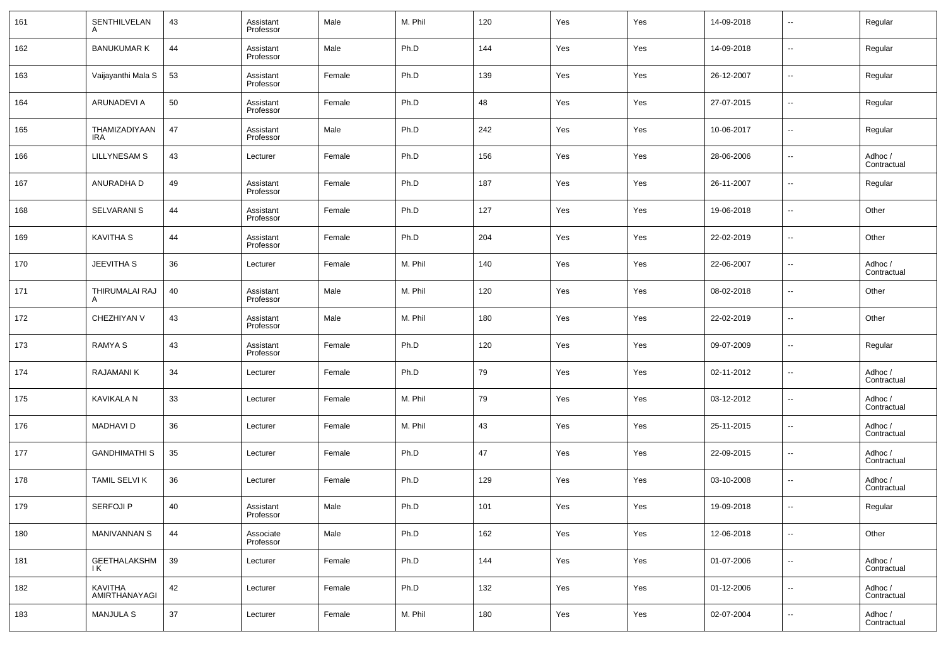| 161 | SENTHILVELAN             | 43 | Assistant<br>Professor | Male   | M. Phil | 120 | Yes | Yes | 14-09-2018 | $\overline{\phantom{a}}$ | Regular                |
|-----|--------------------------|----|------------------------|--------|---------|-----|-----|-----|------------|--------------------------|------------------------|
| 162 | <b>BANUKUMAR K</b>       | 44 | Assistant<br>Professor | Male   | Ph.D    | 144 | Yes | Yes | 14-09-2018 | $\overline{\phantom{a}}$ | Regular                |
| 163 | Vaijayanthi Mala S       | 53 | Assistant<br>Professor | Female | Ph.D    | 139 | Yes | Yes | 26-12-2007 | $\overline{\phantom{a}}$ | Regular                |
| 164 | ARUNADEVI A              | 50 | Assistant<br>Professor | Female | Ph.D    | 48  | Yes | Yes | 27-07-2015 | $\overline{\phantom{a}}$ | Regular                |
| 165 | THAMIZADIYAAN<br>IRA     | 47 | Assistant<br>Professor | Male   | Ph.D    | 242 | Yes | Yes | 10-06-2017 | $\overline{\phantom{a}}$ | Regular                |
| 166 | <b>LILLYNESAM S</b>      | 43 | Lecturer               | Female | Ph.D    | 156 | Yes | Yes | 28-06-2006 | $\overline{\phantom{a}}$ | Adhoc /<br>Contractual |
| 167 | ANURADHA D               | 49 | Assistant<br>Professor | Female | Ph.D    | 187 | Yes | Yes | 26-11-2007 | $\overline{\phantom{a}}$ | Regular                |
| 168 | <b>SELVARANI S</b>       | 44 | Assistant<br>Professor | Female | Ph.D    | 127 | Yes | Yes | 19-06-2018 | $\overline{\phantom{a}}$ | Other                  |
| 169 | <b>KAVITHA S</b>         | 44 | Assistant<br>Professor | Female | Ph.D    | 204 | Yes | Yes | 22-02-2019 | $\overline{\phantom{a}}$ | Other                  |
| 170 | <b>JEEVITHA S</b>        | 36 | Lecturer               | Female | M. Phil | 140 | Yes | Yes | 22-06-2007 | $\overline{\phantom{a}}$ | Adhoc /<br>Contractual |
| 171 | THIRUMALAI RAJ           | 40 | Assistant<br>Professor | Male   | M. Phil | 120 | Yes | Yes | 08-02-2018 | $\overline{\phantom{a}}$ | Other                  |
| 172 | CHEZHIYAN V              | 43 | Assistant<br>Professor | Male   | M. Phil | 180 | Yes | Yes | 22-02-2019 | $\overline{\phantom{a}}$ | Other                  |
| 173 | <b>RAMYA S</b>           | 43 | Assistant<br>Professor | Female | Ph.D    | 120 | Yes | Yes | 09-07-2009 | $\overline{\phantom{a}}$ | Regular                |
| 174 | <b>RAJAMANIK</b>         | 34 | Lecturer               | Female | Ph.D    | 79  | Yes | Yes | 02-11-2012 | $\overline{\phantom{a}}$ | Adhoc /<br>Contractual |
| 175 | KAVIKALA N               | 33 | Lecturer               | Female | M. Phil | 79  | Yes | Yes | 03-12-2012 | $\overline{\phantom{a}}$ | Adhoc /<br>Contractual |
| 176 | <b>MADHAVID</b>          | 36 | Lecturer               | Female | M. Phil | 43  | Yes | Yes | 25-11-2015 | $\overline{\phantom{a}}$ | Adhoc /<br>Contractual |
| 177 | <b>GANDHIMATHI S</b>     | 35 | Lecturer               | Female | Ph.D    | 47  | Yes | Yes | 22-09-2015 | $\overline{\phantom{a}}$ | Adhoc /<br>Contractual |
| 178 | <b>TAMIL SELVI K</b>     | 36 | Lecturer               | Female | Ph.D    | 129 | Yes | Yes | 03-10-2008 | $\overline{\phantom{a}}$ | Adhoc /<br>Contractual |
| 179 | <b>SERFOJI P</b>         | 40 | Assistant<br>Professor | Male   | Ph.D    | 101 | Yes | Yes | 19-09-2018 | $\overline{\phantom{a}}$ | Regular                |
| 180 | <b>MANIVANNAN S</b>      | 44 | Associate<br>Professor | Male   | Ph.D    | 162 | Yes | Yes | 12-06-2018 | ۰.                       | Other                  |
| 181 | GEETHALAKSHM<br>ΙK       | 39 | Lecturer               | Female | Ph.D    | 144 | Yes | Yes | 01-07-2006 | $\sim$                   | Adhoc /<br>Contractual |
| 182 | KAVITHA<br>AMIRTHANAYAGI | 42 | Lecturer               | Female | Ph.D    | 132 | Yes | Yes | 01-12-2006 | $\overline{\phantom{a}}$ | Adhoc /<br>Contractual |
| 183 | <b>MANJULA S</b>         | 37 | Lecturer               | Female | M. Phil | 180 | Yes | Yes | 02-07-2004 | $\overline{\phantom{a}}$ | Adhoc /<br>Contractual |